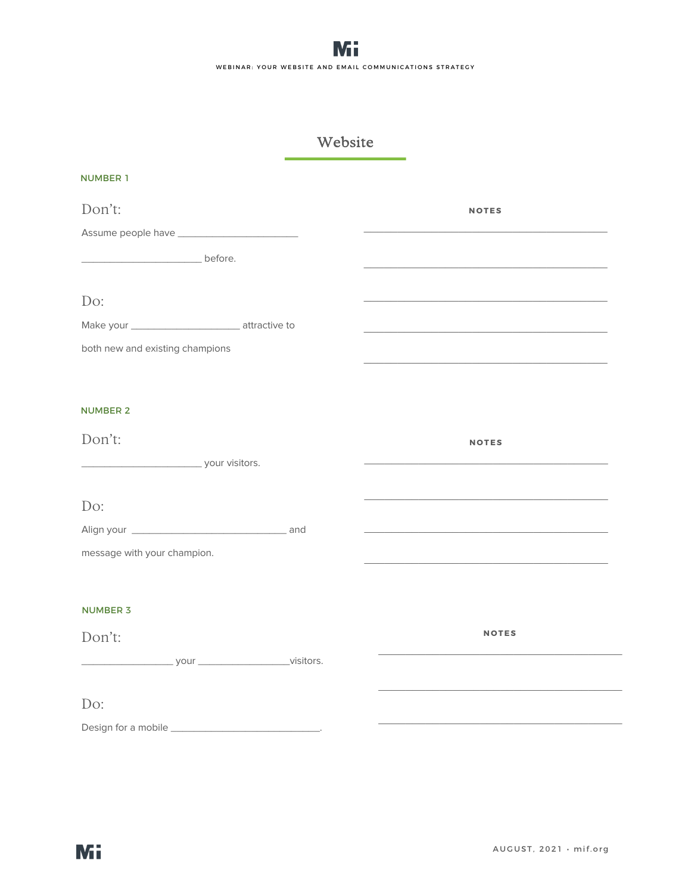# Website

| <b>NUMBER 1</b>                 |                                                                            |
|---------------------------------|----------------------------------------------------------------------------|
| Don't:                          | <b>NOTES</b>                                                               |
|                                 |                                                                            |
| before.                         |                                                                            |
|                                 |                                                                            |
| Do:                             |                                                                            |
|                                 | <u> 1950 - Johann John Stein, mars et al. (</u>                            |
| both new and existing champions |                                                                            |
|                                 |                                                                            |
| <b>NUMBER 2</b>                 |                                                                            |
| Don't:                          | <b>NOTES</b>                                                               |
| your visitors.                  |                                                                            |
|                                 |                                                                            |
| Do:                             |                                                                            |
|                                 | the control of the control of the control of the control of the control of |
| message with your champion.     |                                                                            |
|                                 |                                                                            |
| <b>NUMBER 3</b>                 |                                                                            |
| Don't:                          | <b>NOTES</b>                                                               |
|                                 |                                                                            |
|                                 |                                                                            |
| Do:                             |                                                                            |
|                                 |                                                                            |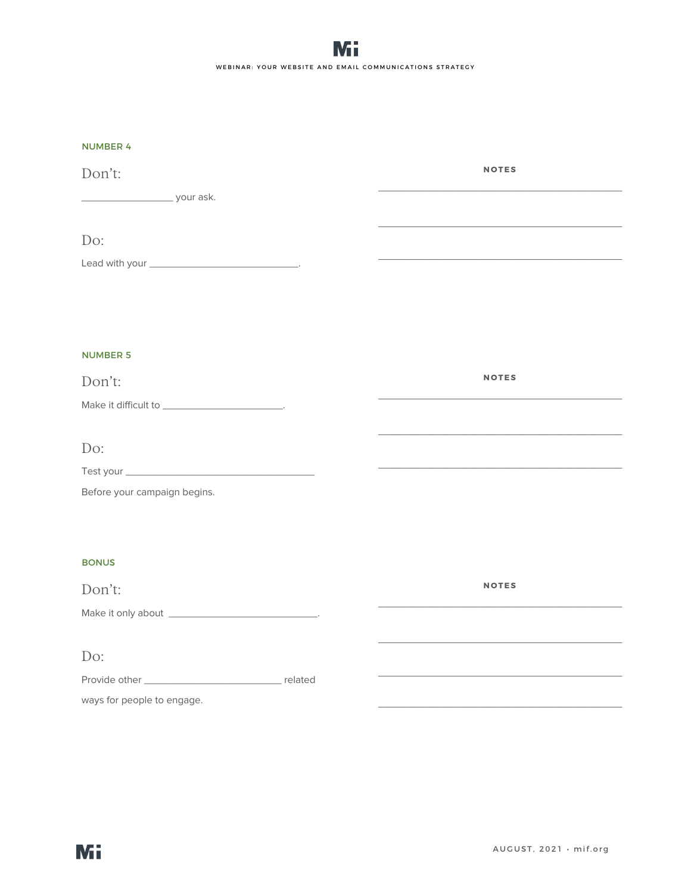| <b>NUMBER 4</b> |  |  |  |
|-----------------|--|--|--|

| N                                                       |              |
|---------------------------------------------------------|--------------|
| Don't:                                                  | <b>NOTES</b> |
|                                                         |              |
|                                                         |              |
| Do:                                                     |              |
|                                                         |              |
|                                                         |              |
|                                                         |              |
|                                                         |              |
| <b>NUMBER 5</b>                                         |              |
| Don't:                                                  | <b>NOTES</b> |
| Make it difficult to _______________________________.   |              |
|                                                         |              |
| Do:                                                     |              |
|                                                         |              |
| Before your campaign begins.                            |              |
|                                                         |              |
|                                                         |              |
| <b>BONUS</b>                                            |              |
| Don't:                                                  | <b>NOTES</b> |
| Make it only about ___________________________________. |              |
|                                                         |              |
| Do:                                                     |              |
|                                                         |              |
| ways for people to engage.                              |              |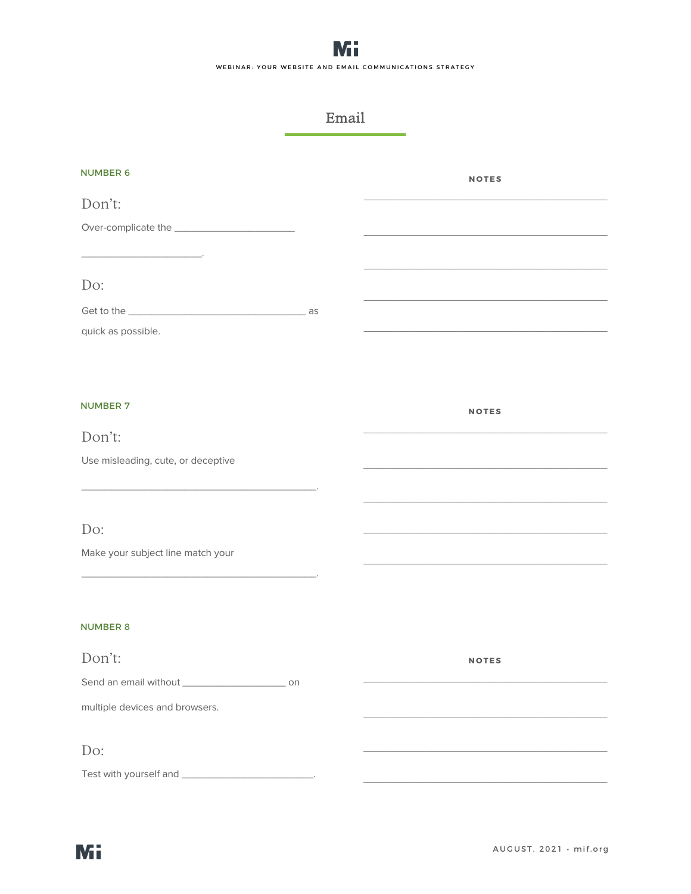## Email

| <b>NUMBER 6</b>                    | <b>NOTES</b> |
|------------------------------------|--------------|
| Don't:                             |              |
|                                    |              |
|                                    |              |
| Do:                                |              |
|                                    |              |
|                                    |              |
| quick as possible.                 |              |
|                                    |              |
|                                    |              |
| <b>NUMBER 7</b>                    | <b>NOTES</b> |
| Don't:                             |              |
| Use misleading, cute, or deceptive |              |
|                                    |              |
|                                    |              |
| Do:                                |              |
| Make your subject line match your  |              |
|                                    |              |
|                                    |              |
| <b>NUMBER 8</b>                    |              |
|                                    |              |
| Don't:                             | <b>NOTES</b> |
|                                    |              |
| multiple devices and browsers.     |              |
|                                    |              |
| Do:                                |              |
|                                    |              |
|                                    |              |